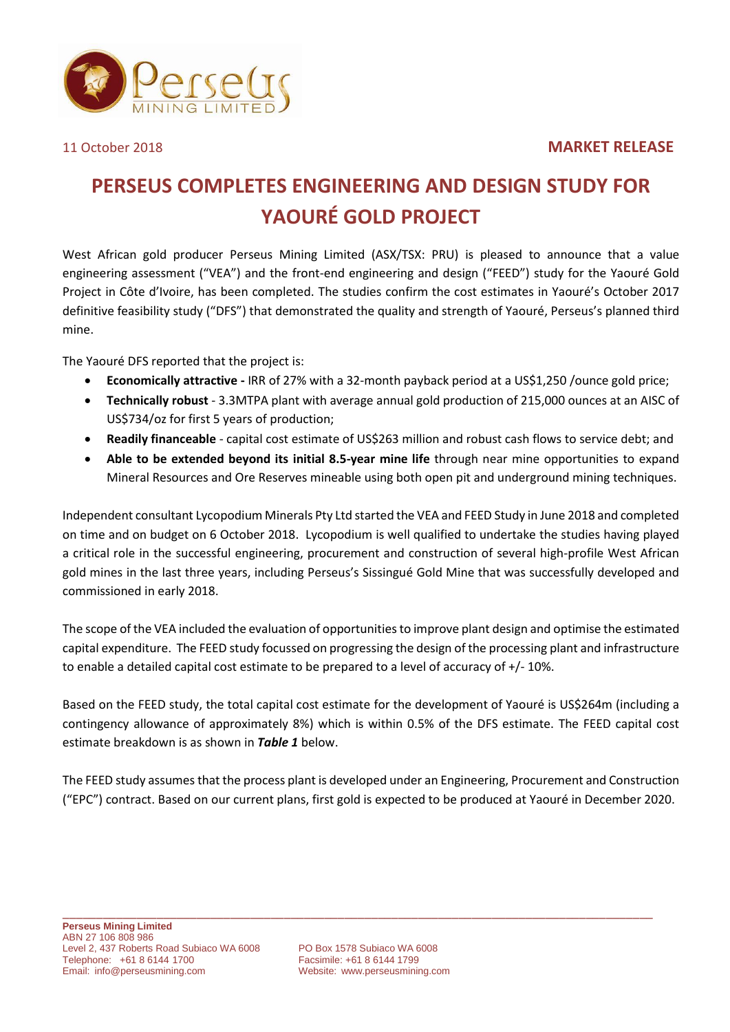## 11 October 2018 **MARKET RELEASE**



## **PERSEUS COMPLETES ENGINEERING AND DESIGN STUDY FOR YAOURÉ GOLD PROJECT**

West African gold producer Perseus Mining Limited (ASX/TSX: PRU) is pleased to announce that a value engineering assessment ("VEA") and the front-end engineering and design ("FEED") study for the Yaouré Gold Project in Côte d'Ivoire, has been completed. The studies confirm the cost estimates in Yaouré's October 2017 definitive feasibility study ("DFS") that demonstrated the quality and strength of Yaouré, Perseus's planned third mine.

The Yaouré DFS reported that the project is:

- **Economically attractive -** IRR of 27% with a 32-month payback period at a US\$1,250 /ounce gold price;
- **Technically robust**  3.3MTPA plant with average annual gold production of 215,000 ounces at an AISC of US\$734/oz for first 5 years of production;
- **Readily financeable** capital cost estimate of US\$263 million and robust cash flows to service debt; and
- **Able to be extended beyond its initial 8.5-year mine life** through near mine opportunities to expand Mineral Resources and Ore Reserves mineable using both open pit and underground mining techniques.

Independent consultant Lycopodium Minerals Pty Ltd started the VEA and FEED Study in June 2018 and completed on time and on budget on 6 October 2018. Lycopodium is well qualified to undertake the studies having played a critical role in the successful engineering, procurement and construction of several high-profile West African gold mines in the last three years, including Perseus's Sissingué Gold Mine that was successfully developed and commissioned in early 2018.

The scope of the VEA included the evaluation of opportunities to improve plant design and optimise the estimated capital expenditure. The FEED study focussed on progressing the design of the processing plant and infrastructure to enable a detailed capital cost estimate to be prepared to a level of accuracy of +/- 10%.

Based on the FEED study, the total capital cost estimate for the development of Yaouré is US\$264m (including a contingency allowance of approximately 8%) which is within 0.5% of the DFS estimate. The FEED capital cost estimate breakdown is as shown in *Table 1* below.

The FEED study assumes that the process plant is developed under an Engineering, Procurement and Construction ("EPC") contract. Based on our current plans, first gold is expected to be produced at Yaouré in December 2020.

Website: [www.perseusmining.com](http://www.perseusmining.com/)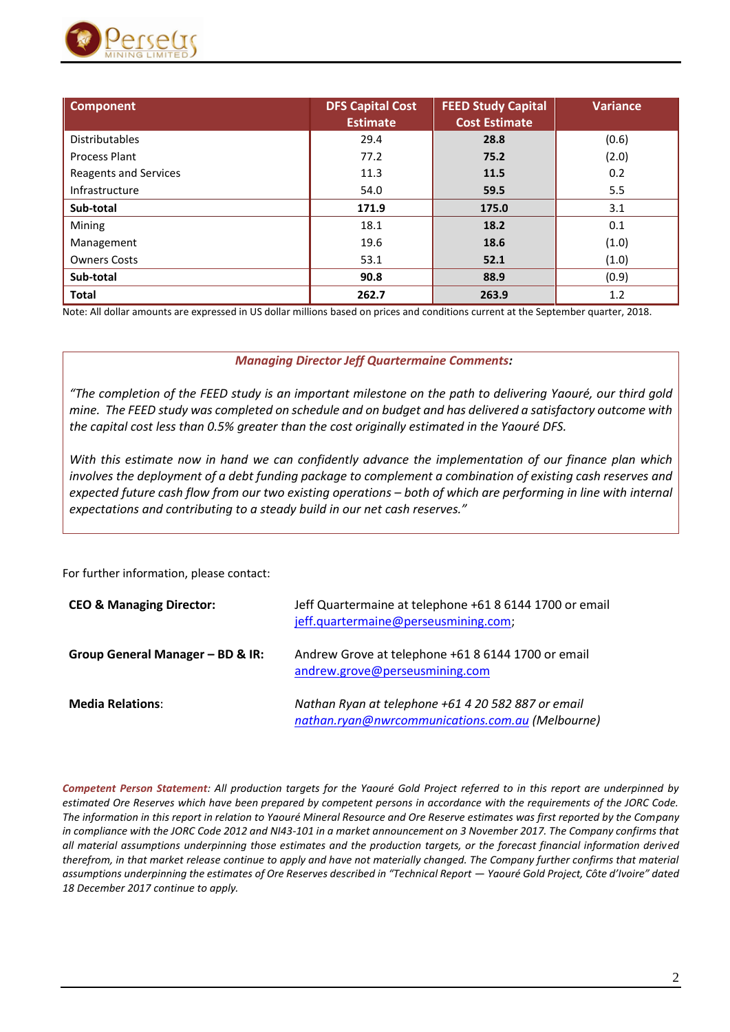

| <b>Component</b>             | <b>DFS Capital Cost</b> | <b>FEED Study Capital</b> | Variance |
|------------------------------|-------------------------|---------------------------|----------|
|                              | <b>Estimate</b>         | <b>Cost Estimate</b>      |          |
| <b>Distributables</b>        | 29.4                    | 28.8                      | (0.6)    |
| Process Plant                | 77.2                    | 75.2                      | (2.0)    |
| <b>Reagents and Services</b> | 11.3                    | 11.5                      | 0.2      |
| Infrastructure               | 54.0                    | 59.5                      | 5.5      |
| Sub-total                    | 171.9                   | 175.0                     | 3.1      |
| Mining                       | 18.1                    | 18.2                      | 0.1      |
| Management                   | 19.6                    | 18.6                      | (1.0)    |
| <b>Owners Costs</b>          | 53.1                    | 52.1                      | (1.0)    |
| Sub-total                    | 90.8                    | 88.9                      | (0.9)    |
| <b>Total</b>                 | 262.7                   | 263.9                     | 1.2      |

Note: All dollar amounts are expressed in US dollar millions based on prices and conditions current at the September quarter, 2018.

## *Managing Director Jeff Quartermaine Comments:*

*"The completion of the FEED study is an important milestone on the path to delivering Yaouré, our third gold mine. The FEED study was completed on schedule and on budget and has delivered a satisfactory outcome with the capital cost less than 0.5% greater than the cost originally estimated in the Yaouré DFS.*

*With this estimate now in hand we can confidently advance the implementation of our finance plan which involves the deployment of a debt funding package to complement a combination of existing cash reserves and expected future cash flow from our two existing operations – both of which are performing in line with internal expectations and contributing to a steady build in our net cash reserves."*

For further information, please contact:

| <b>CEO &amp; Managing Director:</b> | Jeff Quartermaine at telephone +61 8 6144 1700 or email<br>jeff.quartermaine@perseusmining.com;        |
|-------------------------------------|--------------------------------------------------------------------------------------------------------|
| Group General Manager - BD & IR:    | Andrew Grove at telephone +61 8 6144 1700 or email<br>andrew.grove@perseusmining.com                   |
| <b>Media Relations:</b>             | Nathan Ryan at telephone +61 4 20 582 887 or email<br>nathan.ryan@nwrcommunications.com.au (Melbourne) |

*Competent Person Statement: All production targets for the Yaouré Gold Project referred to in this report are underpinned by estimated Ore Reserves which have been prepared by competent persons in accordance with the requirements of the JORC Code. The information in this report in relation to Yaouré Mineral Resource and Ore Reserve estimates was first reported by the Company in compliance with the JORC Code 2012 and NI43-101 in a market announcement on 3 November 2017. The Company confirms that all material assumptions underpinning those estimates and the production targets, or the forecast financial information derived therefrom, in that market release continue to apply and have not materially changed. The Company further confirms that material assumptions underpinning the estimates of Ore Reserves described in "Technical Report — Yaouré Gold Project, Côte d'Ivoire" dated 18 December 2017 continue to apply.*